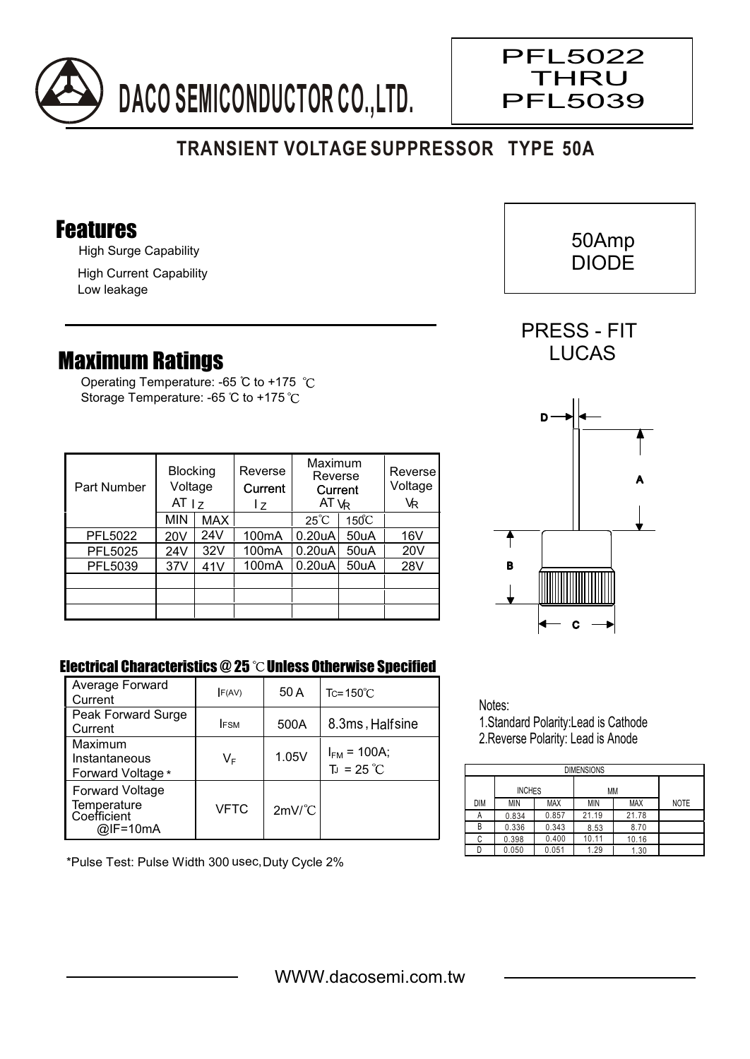

## **TRANSIENT VOLTAGE SUPPRESSOR TYPE 50A**

#### Features

High Surge Capability

High Current Capability Low leakage

### Maximum Ratings

Operating Temperature: -65 °C to +175 °C Storage Temperature: -65 °C to +175 °C

| Part Number | <b>Blocking</b><br>Voltage<br>AT <sub>17</sub> |            | Reverse<br>Current<br>l z | Maximum<br>Reverse<br>Current<br>AT $V_R$ |                 | Reverse<br>Voltage<br>VR |
|-------------|------------------------------------------------|------------|---------------------------|-------------------------------------------|-----------------|--------------------------|
|             | <b>MIN</b>                                     | <b>MAX</b> |                           | $25^{\circ}C$                             | $150^{\circ}$ C |                          |
| PFL5022     | 20 <sub>V</sub>                                | 24V        | 100 <sub>m</sub> A        | 0.20 <sub>u</sub> A                       | 50uA            | 16V                      |
| PFL5025     | 24V                                            | 32V        | 100 <sub>m</sub> A        | 0.20 uA                                   | 50uA            | 20V                      |
| PFL5039     | 37V                                            | 41V        | 100 <sub>m</sub> A        | 0.20 <sub>u</sub> A                       | 50uA            | 28V                      |
|             |                                                |            |                           |                                           |                 |                          |
|             |                                                |            |                           |                                           |                 |                          |
|             |                                                |            |                           |                                           |                 |                          |

# A C B D

#### Electrical Characteristics  $@25$   $^{\circ}$ C Unless Otherwise Specified

| Average Forward<br>Current                                       | F(AV)       | 50 A                 | $Tc = 150^{\circ}$ C                    |
|------------------------------------------------------------------|-------------|----------------------|-----------------------------------------|
| Peak Forward Surge<br>Current                                    | <b>IFSM</b> | 500A                 | 8.3ms, Halfsine                         |
| Maximum<br>Instantaneous<br>Forward Voltage *                    | VF          | 1.05V                | $I_{FM}$ = 100A;<br>$T_J = 25^{\circ}C$ |
| <b>Forward Voltage</b><br>Temperature<br>Coefficient<br>@IF=10mA | VFTC        | $2mV$ <sup>°</sup> C |                                         |

\*Pulse Test: Pulse Width 300 usec,Duty Cycle 2%

Notes: 1.Standard Polarity:Lead is Cathode 2.Reverse Polarity: Lead is Anode

DIMENSIONS INCHES MM DIM MIN MAX MIN MAX NOTE A B C 0.336 0.834 0.857 8.53 8.70 21.19 10.11 21.78 0.343 10.16 D 0.050 0.051 1.29 1.30  $\begin{array}{|c|c|c|c|c|}\n 0.398 & 0.400 \\
\hline\n 0.050 & 0.051\n \end{array}$ 0.051





PRESS - FIT **LUCAS** 



 $\overline{\phantom{a}}$